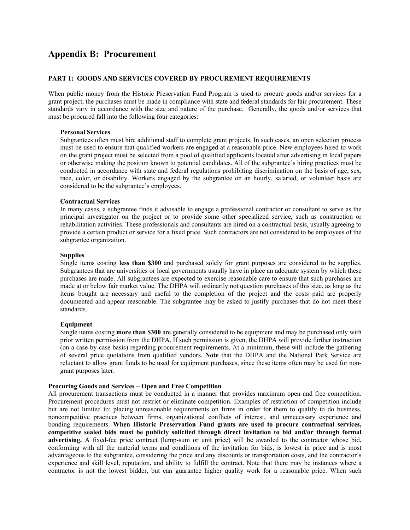# **Appendix B: Procurement**

#### **PART 1: GOODS AND SERVICES COVERED BY PROCUREMENT REQUIREMENTS**

When public money from the Historic Preservation Fund Program is used to procure goods and/or services for a grant project, the purchases must be made in compliance with state and federal standards for fair procurement. These standards vary in accordance with the size and nature of the purchase. Generally, the goods and/or services that must be procured fall into the following four categories:

#### **Personal Services**

Subgrantees often must hire additional staff to complete grant projects. In such cases, an open selection process must be used to ensure that qualified workers are engaged at a reasonable price. New employees hired to work on the grant project must be selected from a pool of qualified applicants located after advertising in local papers or otherwise making the position known to potential candidates. All of the subgrantee's hiring practices must be conducted in accordance with state and federal regulations prohibiting discrimination on the basis of age, sex, race, color, or disability. Workers engaged by the subgrantee on an hourly, salaried, or volunteer basis are considered to be the subgrantee's employees.

#### **Contractual Services**

In many cases, a subgrantee finds it advisable to engage a professional contractor or consultant to serve as the principal investigator on the project or to provide some other specialized service, such as construction or rehabilitation activities. These professionals and consultants are hired on a contractual basis, usually agreeing to provide a certain product or service for a fixed price. Such contractors are not considered to be employees of the subgrantee organization.

#### **Supplies**

Single items costing **less than \$300** and purchased solely for grant purposes are considered to be supplies. Subgrantees that are universities or local governments usually have in place an adequate system by which these purchases are made. All subgrantees are expected to exercise reasonable care to ensure that such purchases are made at or below fair market value. The DHPA will ordinarily not question purchases of this size, as long as the items bought are necessary and useful to the completion of the project and the costs paid are properly documented and appear reasonable. The subgrantee may be asked to justify purchases that do not meet these standards.

#### **Equipment**

Single items costing **more than \$300** are generally considered to be equipment and may be purchased only with prior written permission from the DHPA. If such permission is given, the DHPA will provide further instruction (on a case-by-case basis) regarding procurement requirements. At a minimum, these will include the gathering of several price quotations from qualified vendors. **Note** that the DHPA and the National Park Service are reluctant to allow grant funds to be used for equipment purchases, since these items often may be used for nongrant purposes later.

# **Procuring Goods and Services – Open and Free Competition**

All procurement transactions must be conducted in a manner that provides maximum open and free competition. Procurement procedures must not restrict or eliminate competition. Examples of restriction of competition include but are not limited to: placing unreasonable requirements on firms in order for them to qualify to do business, noncompetitive practices between firms, organizational conflicts of interest, and unnecessary experience and bonding requirements. **When Historic Preservation Fund grants are used to procure contractual services, competitive sealed bids must be publicly solicited through direct invitation to bid and/or through formal advertising.** A fixed-fee price contract (lump-sum or unit price) will be awarded to the contractor whose bid, conforming with all the material terms and conditions of the invitation for bids, is lowest in price and is most advantageous to the subgrantee, considering the price and any discounts or transportation costs, and the contractor's experience and skill level, reputation, and ability to fulfill the contract. Note that there may be instances where a contractor is not the lowest bidder, but can guarantee higher quality work for a reasonable price. When such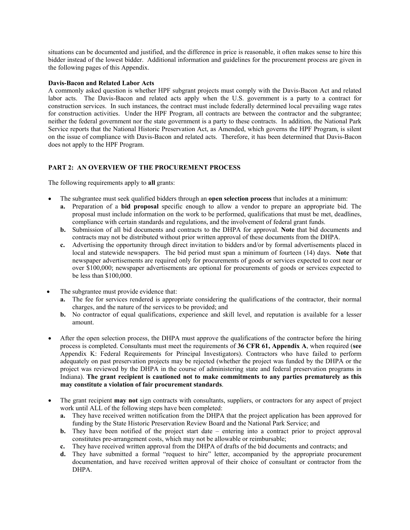situations can be documented and justified, and the difference in price is reasonable, it often makes sense to hire this bidder instead of the lowest bidder. Additional information and guidelines for the procurement process are given in the following pages of this Appendix.

## **Davis-Bacon and Related Labor Acts**

A commonly asked question is whether HPF subgrant projects must comply with the Davis-Bacon Act and related labor acts. The Davis-Bacon and related acts apply when the U.S. government is a party to a contract for construction services. In such instances, the contract must include federally determined local prevailing wage rates for construction activities. Under the HPF Program, all contracts are between the contractor and the subgrantee; neither the federal government nor the state government is a party to these contracts. In addition, the National Park Service reports that the National Historic Preservation Act, as Amended, which governs the HPF Program, is silent on the issue of compliance with Davis-Bacon and related acts. Therefore, it has been determined that Davis-Bacon does not apply to the HPF Program.

# **PART 2: AN OVERVIEW OF THE PROCUREMENT PROCESS**

The following requirements apply to **all** grants:

- The subgrantee must seek qualified bidders through an **open selection process** that includes at a minimum:
	- **a.** Preparation of a **bid proposal** specific enough to allow a vendor to prepare an appropriate bid. The proposal must include information on the work to be performed, qualifications that must be met, deadlines, compliance with certain standards and regulations, and the involvement of federal grant funds.
	- **b.** Submission of all bid documents and contracts to the DHPA for approval. **Note** that bid documents and contracts may not be distributed without prior written approval of these documents from the DHPA.
	- **c.** Advertising the opportunity through direct invitation to bidders and/or by formal advertisements placed in local and statewide newspapers. The bid period must span a minimum of fourteen (14) days. **Note** that newspaper advertisements are required only for procurements of goods or services expected to cost near or over \$100,000; newspaper advertisements are optional for procurements of goods or services expected to be less than \$100,000.
- The subgrantee must provide evidence that:
	- **a.** The fee for services rendered is appropriate considering the qualifications of the contractor, their normal charges, and the nature of the services to be provided; and
	- **b.** No contractor of equal qualifications, experience and skill level, and reputation is available for a lesser amount.
- After the open selection process, the DHPA must approve the qualifications of the contractor before the hiring process is completed. Consultants must meet the requirements of **36 CFR 61, Appendix A**, when required (**see** Appendix K: Federal Requirements for Principal Investigators). Contractors who have failed to perform adequately on past preservation projects may be rejected (whether the project was funded by the DHPA or the project was reviewed by the DHPA in the course of administering state and federal preservation programs in Indiana). **The grant recipient is cautioned not to make commitments to any parties prematurely as this may constitute a violation of fair procurement standards**.
- The grant recipient **may not** sign contracts with consultants, suppliers, or contractors for any aspect of project work until ALL of the following steps have been completed:
	- **a.** They have received written notification from the DHPA that the project application has been approved for funding by the State Historic Preservation Review Board and the National Park Service; and
	- **b.** They have been notified of the project start date entering into a contract prior to project approval constitutes pre-arrangement costs, which may not be allowable or reimbursable;
	- **c.** They have received written approval from the DHPA of drafts of the bid documents and contracts; and
	- **d.** They have submitted a formal "request to hire" letter, accompanied by the appropriate procurement documentation, and have received written approval of their choice of consultant or contractor from the DHPA.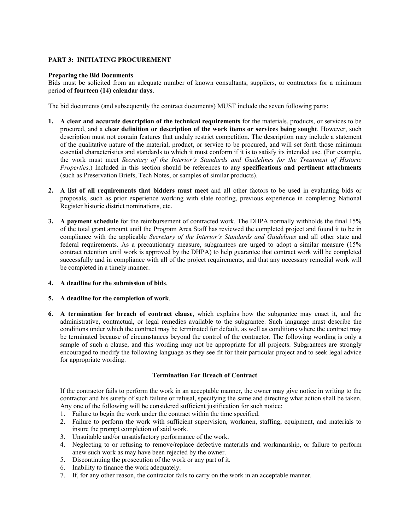# **PART 3: INITIATING PROCUREMENT**

## **Preparing the Bid Documents**

Bids must be solicited from an adequate number of known consultants, suppliers, or contractors for a minimum period of **fourteen (14) calendar days**.

The bid documents (and subsequently the contract documents) MUST include the seven following parts:

- **1. A clear and accurate description of the technical requirements** for the materials, products, or services to be procured, and a **clear definition or description of the work items or services being sought**. However, such description must not contain features that unduly restrict competition. The description may include a statement of the qualitative nature of the material, product, or service to be procured, and will set forth those minimum essential characteristics and standards to which it must conform if it is to satisfy its intended use. (For example, the work must meet *Secretary of the Interior's Standards and Guidelines for the Treatment of Historic Properties*.) Included in this section should be references to any **specifications and pertinent attachments** (such as Preservation Briefs, Tech Notes, or samples of similar products).
- **2. A list of all requirements that bidders must meet** and all other factors to be used in evaluating bids or proposals, such as prior experience working with slate roofing, previous experience in completing National Register historic district nominations, etc.
- **3. A payment schedule** for the reimbursement of contracted work. The DHPA normally withholds the final 15% of the total grant amount until the Program Area Staff has reviewed the completed project and found it to be in compliance with the applicable *Secretary of the Interior's Standards and Guidelines* and all other state and federal requirements. As a precautionary measure, subgrantees are urged to adopt a similar measure (15% contract retention until work is approved by the DHPA) to help guarantee that contract work will be completed successfully and in compliance with all of the project requirements, and that any necessary remedial work will be completed in a timely manner.

# **4. A deadline for the submission of bids**.

# **5. A deadline for the completion of work**.

**6. A termination for breach of contract clause**, which explains how the subgrantee may enact it, and the administrative, contractual, or legal remedies available to the subgrantee. Such language must describe the conditions under which the contract may be terminated for default, as well as conditions where the contract may be terminated because of circumstances beyond the control of the contractor. The following wording is only a sample of such a clause, and this wording may not be appropriate for all projects. Subgrantees are strongly encouraged to modify the following language as they see fit for their particular project and to seek legal advice for appropriate wording.

# **Termination For Breach of Contract**

 If the contractor fails to perform the work in an acceptable manner, the owner may give notice in writing to the contractor and his surety of such failure or refusal, specifying the same and directing what action shall be taken. Any one of the following will be considered sufficient justification for such notice:

- 1. Failure to begin the work under the contract within the time specified.
- 2. Failure to perform the work with sufficient supervision, workmen, staffing, equipment, and materials to insure the prompt completion of said work.
- 3. Unsuitable and/or unsatisfactory performance of the work.
- 4. Neglecting to or refusing to remove/replace defective materials and workmanship, or failure to perform anew such work as may have been rejected by the owner.
- 5. Discontinuing the prosecution of the work or any part of it.
- 6. Inability to finance the work adequately.
- 7. If, for any other reason, the contractor fails to carry on the work in an acceptable manner.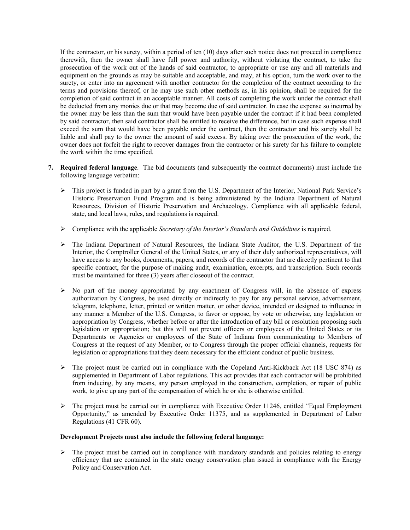If the contractor, or his surety, within a period of ten (10) days after such notice does not proceed in compliance therewith, then the owner shall have full power and authority, without violating the contract, to take the prosecution of the work out of the hands of said contractor, to appropriate or use any and all materials and equipment on the grounds as may be suitable and acceptable, and may, at his option, turn the work over to the surety, or enter into an agreement with another contractor for the completion of the contract according to the terms and provisions thereof, or he may use such other methods as, in his opinion, shall be required for the completion of said contract in an acceptable manner. All costs of completing the work under the contract shall be deducted from any monies due or that may become due of said contractor. In case the expense so incurred by the owner may be less than the sum that would have been payable under the contract if it had been completed by said contractor, then said contractor shall be entitled to receive the difference, but in case such expense shall exceed the sum that would have been payable under the contract, then the contractor and his surety shall be liable and shall pay to the owner the amount of said excess. By taking over the prosecution of the work, the owner does not forfeit the right to recover damages from the contractor or his surety for his failure to complete the work within the time specified.

- **7. Required federal language**. The bid documents (and subsequently the contract documents) must include the following language verbatim:
	- ¾ This project is funded in part by a grant from the U.S. Department of the Interior, National Park Service's Historic Preservation Fund Program and is being administered by the Indiana Department of Natural Resources, Division of Historic Preservation and Archaeology. Compliance with all applicable federal, state, and local laws, rules, and regulations is required.
	- ¾ Compliance with the applicable *Secretary of the Interior's Standards and Guidelines* is required.
	- ¾ The Indiana Department of Natural Resources, the Indiana State Auditor, the U.S. Department of the Interior, the Comptroller General of the United States, or any of their duly authorized representatives, will have access to any books, documents, papers, and records of the contractor that are directly pertinent to that specific contract, for the purpose of making audit, examination, excerpts, and transcription. Such records must be maintained for three (3) years after closeout of the contract.
	- ¾ No part of the money appropriated by any enactment of Congress will, in the absence of express authorization by Congress, be used directly or indirectly to pay for any personal service, advertisement, telegram, telephone, letter, printed or written matter, or other device, intended or designed to influence in any manner a Member of the U.S. Congress, to favor or oppose, by vote or otherwise, any legislation or appropriation by Congress, whether before or after the introduction of any bill or resolution proposing such legislation or appropriation; but this will not prevent officers or employees of the United States or its Departments or Agencies or employees of the State of Indiana from communicating to Members of Congress at the request of any Member, or to Congress through the proper official channels, requests for legislation or appropriations that they deem necessary for the efficient conduct of public business.
	- $\triangleright$  The project must be carried out in compliance with the Copeland Anti-Kickback Act (18 USC 874) as supplemented in Department of Labor regulations. This act provides that each contractor will be prohibited from inducing, by any means, any person employed in the construction, completion, or repair of public work, to give up any part of the compensation of which he or she is otherwise entitled.
	- $\triangleright$  The project must be carried out in compliance with Executive Order 11246, entitled "Equal Employment" Opportunity," as amended by Executive Order 11375, and as supplemented in Department of Labor Regulations (41 CFR 60).

## **Development Projects must also include the following federal language:**

 $\triangleright$  The project must be carried out in compliance with mandatory standards and policies relating to energy efficiency that are contained in the state energy conservation plan issued in compliance with the Energy Policy and Conservation Act.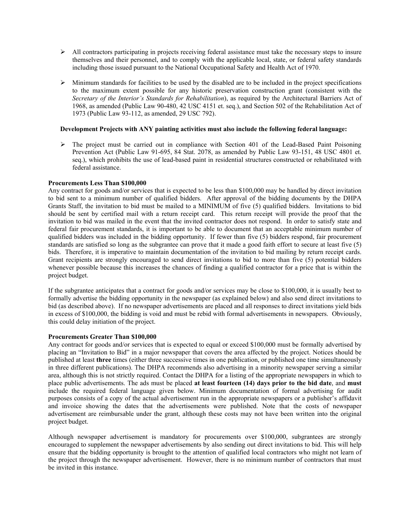- $\triangleright$  All contractors participating in projects receiving federal assistance must take the necessary steps to insure themselves and their personnel, and to comply with the applicable local, state, or federal safety standards including those issued pursuant to the National Occupational Safety and Health Act of 1970.
- $\triangleright$  Minimum standards for facilities to be used by the disabled are to be included in the project specifications to the maximum extent possible for any historic preservation construction grant (consistent with the *Secretary of the Interior's Standards for Rehabilitation*), as required by the Architectural Barriers Act of 1968, as amended (Public Law 90-480, 42 USC 4151 et. seq.), and Section 502 of the Rehabilitation Act of 1973 (Public Law 93-112, as amended, 29 USC 792).

#### **Development Projects with ANY painting activities must also include the following federal language:**

 $\triangleright$  The project must be carried out in compliance with Section 401 of the Lead-Based Paint Poisoning Prevention Act (Public Law 91-695, 84 Stat. 2078, as amended by Public Law 93-151, 48 USC 4801 et. seq.), which prohibits the use of lead-based paint in residential structures constructed or rehabilitated with federal assistance.

#### **Procurements Less Than \$100,000**

Any contract for goods and/or services that is expected to be less than \$100,000 may be handled by direct invitation to bid sent to a minimum number of qualified bidders. After approval of the bidding documents by the DHPA Grants Staff, the invitation to bid must be mailed to a MINIMUM of five (5) qualified bidders. Invitations to bid should be sent by certified mail with a return receipt card. This return receipt will provide the proof that the invitation to bid was mailed in the event that the invited contractor does not respond. In order to satisfy state and federal fair procurement standards, it is important to be able to document that an acceptable minimum number of qualified bidders was included in the bidding opportunity. If fewer than five (5) bidders respond, fair procurement standards are satisfied so long as the subgrantee can prove that it made a good faith effort to secure at least five (5) bids. Therefore, it is imperative to maintain documentation of the invitation to bid mailing by return receipt cards. Grant recipients are strongly encouraged to send direct invitations to bid to more than five (5) potential bidders whenever possible because this increases the chances of finding a qualified contractor for a price that is within the project budget.

If the subgrantee anticipates that a contract for goods and/or services may be close to \$100,000, it is usually best to formally advertise the bidding opportunity in the newspaper (as explained below) and also send direct invitations to bid (as described above). If no newspaper advertisements are placed and all responses to direct invitations yield bids in excess of \$100,000, the bidding is void and must be rebid with formal advertisements in newspapers. Obviously, this could delay initiation of the project.

#### **Procurements Greater Than \$100,000**

Any contract for goods and/or services that is expected to equal or exceed \$100,000 must be formally advertised by placing an "Invitation to Bid" in a major newspaper that covers the area affected by the project. Notices should be published at least **three** times (either three successive times in one publication, or published one time simultaneously in three different publications). The DHPA recommends also advertising in a minority newspaper serving a similar area, although this is not strictly required. Contact the DHPA for a listing of the appropriate newspapers in which to place public advertisements. The ads must be placed **at least fourteen (14) days prior to the bid date**, and **must** include the required federal language given below. Minimum documentation of formal advertising for audit purposes consists of a copy of the actual advertisement run in the appropriate newspapers or a publisher's affidavit and invoice showing the dates that the advertisements were published. Note that the costs of newspaper advertisement are reimbursable under the grant, although these costs may not have been written into the original project budget.

Although newspaper advertisement is mandatory for procurements over \$100,000, subgrantees are strongly encouraged to supplement the newspaper advertisements by also sending out direct invitations to bid. This will help ensure that the bidding opportunity is brought to the attention of qualified local contractors who might not learn of the project through the newspaper advertisement. However, there is no minimum number of contractors that must be invited in this instance.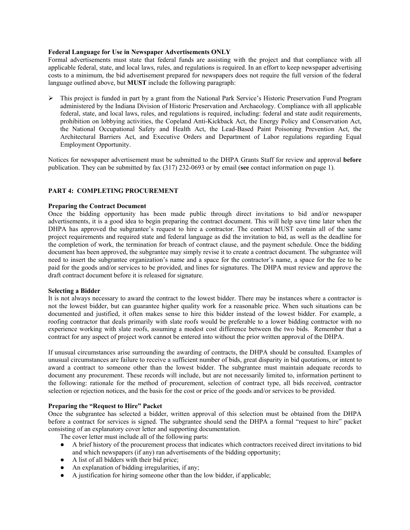### **Federal Language for Use in Newspaper Advertisements ONLY**

Formal advertisements must state that federal funds are assisting with the project and that compliance with all applicable federal, state, and local laws, rules, and regulations is required. In an effort to keep newspaper advertising costs to a minimum, the bid advertisement prepared for newspapers does not require the full version of the federal language outlined above, but **MUST** include the following paragraph:

¾ This project is funded in part by a grant from the National Park Service's Historic Preservation Fund Program administered by the Indiana Division of Historic Preservation and Archaeology. Compliance with all applicable federal, state, and local laws, rules, and regulations is required, including: federal and state audit requirements, prohibition on lobbying activities, the Copeland Anti-Kickback Act, the Energy Policy and Conservation Act, the National Occupational Safety and Health Act, the Lead-Based Paint Poisoning Prevention Act, the Architectural Barriers Act, and Executive Orders and Department of Labor regulations regarding Equal Employment Opportunity.

Notices for newspaper advertisement must be submitted to the DHPA Grants Staff for review and approval **before** publication. They can be submitted by fax (317) 232-0693 or by email (**see** contact information on page 1).

#### **PART 4: COMPLETING PROCUREMENT**

#### **Preparing the Contract Document**

Once the bidding opportunity has been made public through direct invitations to bid and/or newspaper advertisements, it is a good idea to begin preparing the contract document. This will help save time later when the DHPA has approved the subgrantee's request to hire a contractor. The contract MUST contain all of the same project requirements and required state and federal language as did the invitation to bid, as well as the deadline for the completion of work, the termination for breach of contract clause, and the payment schedule. Once the bidding document has been approved, the subgrantee may simply revise it to create a contract document. The subgrantee will need to insert the subgrantee organization's name and a space for the contractor's name, a space for the fee to be paid for the goods and/or services to be provided, and lines for signatures. The DHPA must review and approve the draft contract document before it is released for signature.

#### **Selecting a Bidder**

It is not always necessary to award the contract to the lowest bidder. There may be instances where a contractor is not the lowest bidder, but can guarantee higher quality work for a reasonable price. When such situations can be documented and justified, it often makes sense to hire this bidder instead of the lowest bidder. For example, a roofing contractor that deals primarily with slate roofs would be preferable to a lower bidding contractor with no experience working with slate roofs, assuming a modest cost difference between the two bids. Remember that a contract for any aspect of project work cannot be entered into without the prior written approval of the DHPA.

If unusual circumstances arise surrounding the awarding of contracts, the DHPA should be consulted. Examples of unusual circumstances are failure to receive a sufficient number of bids, great disparity in bid quotations, or intent to award a contract to someone other than the lowest bidder. The subgrantee must maintain adequate records to document any procurement. These records will include, but are not necessarily limited to, information pertinent to the following: rationale for the method of procurement, selection of contract type, all bids received, contractor selection or rejection notices, and the basis for the cost or price of the goods and/or services to be provided.

# **Preparing the "Request to Hire" Packet**

Once the subgrantee has selected a bidder, written approval of this selection must be obtained from the DHPA before a contract for services is signed. The subgrantee should send the DHPA a formal "request to hire" packet consisting of an explanatory cover letter and supporting documentation.

The cover letter must include all of the following parts:

- A brief history of the procurement process that indicates which contractors received direct invitations to bid and which newspapers (if any) ran advertisements of the bidding opportunity;
- A list of all bidders with their bid price;
- An explanation of bidding irregularities, if any;
- A justification for hiring someone other than the low bidder, if applicable;